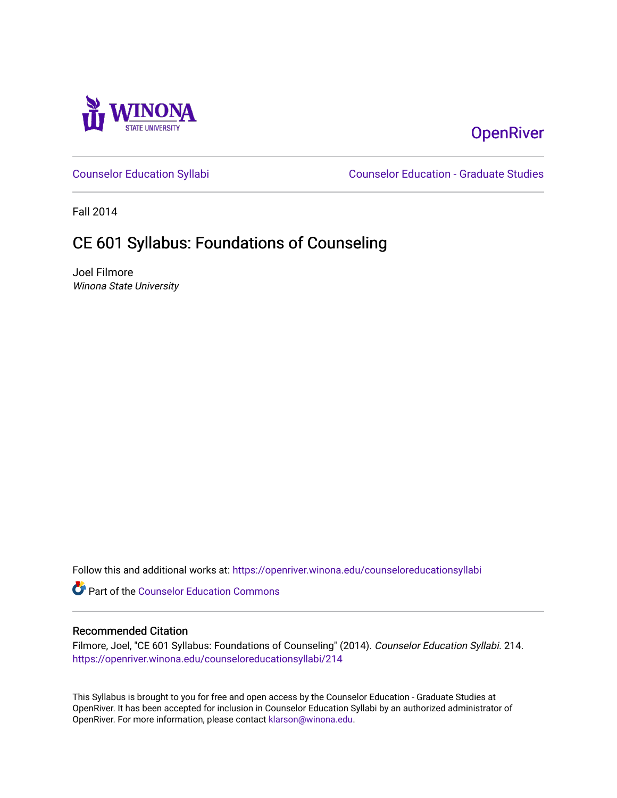

# **OpenRiver**

[Counselor Education Syllabi](https://openriver.winona.edu/counseloreducationsyllabi) [Counselor Education - Graduate Studies](https://openriver.winona.edu/counseloreducation) 

Fall 2014

# CE 601 Syllabus: Foundations of Counseling

Joel Filmore Winona State University

Follow this and additional works at: [https://openriver.winona.edu/counseloreducationsyllabi](https://openriver.winona.edu/counseloreducationsyllabi?utm_source=openriver.winona.edu%2Fcounseloreducationsyllabi%2F214&utm_medium=PDF&utm_campaign=PDFCoverPages)

Part of the [Counselor Education Commons](http://network.bepress.com/hgg/discipline/1278?utm_source=openriver.winona.edu%2Fcounseloreducationsyllabi%2F214&utm_medium=PDF&utm_campaign=PDFCoverPages) 

#### Recommended Citation

Filmore, Joel, "CE 601 Syllabus: Foundations of Counseling" (2014). Counselor Education Syllabi. 214. [https://openriver.winona.edu/counseloreducationsyllabi/214](https://openriver.winona.edu/counseloreducationsyllabi/214?utm_source=openriver.winona.edu%2Fcounseloreducationsyllabi%2F214&utm_medium=PDF&utm_campaign=PDFCoverPages)

This Syllabus is brought to you for free and open access by the Counselor Education - Graduate Studies at OpenRiver. It has been accepted for inclusion in Counselor Education Syllabi by an authorized administrator of OpenRiver. For more information, please contact [klarson@winona.edu](mailto:klarson@winona.edu).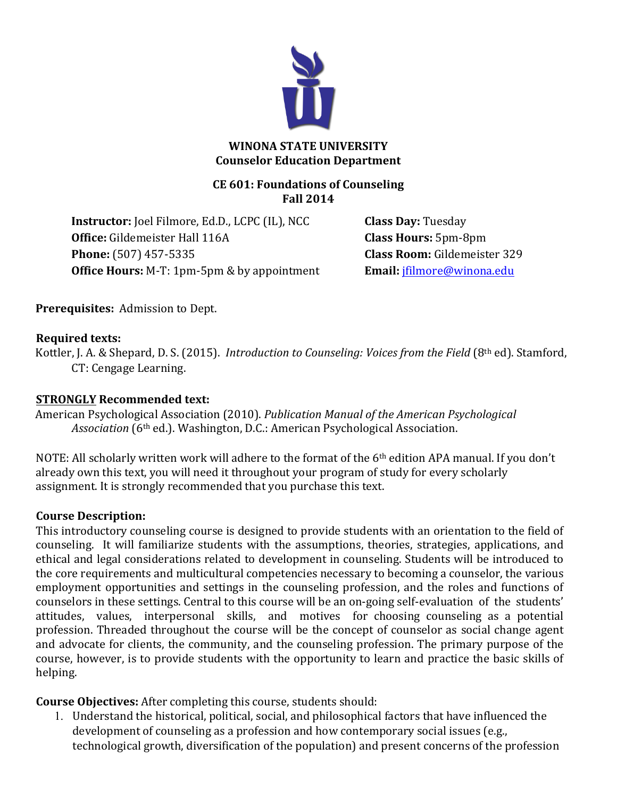

#### **WINONA STATE UNIVERSITY Counselor Education Department**

#### **CE 601: Foundations of Counseling Fall 2014**

**Instructor:** Joel Filmore, Ed.D., LCPC (IL), NCC **Class Day:** Tuesday **Office:** Gildemeister Hall 116A **Class Hours:** 5pm-8pm **Phone:** (507) 457-5335 **Class Room:** Gildemeister 329 **Office Hours:** M-T: 1pm-5pm & by appointment **Email:** jfilmore@winona.edu

**Prerequisites:** Admission to Dept.

#### **Required texts:**

Kottler, J. A. & Shepard, D. S. (2015). *Introduction to Counseling: Voices from the Field* (8<sup>th</sup> ed). Stamford, CT: Cengage Learning.

#### **STRONGLY Recommended text:**

American Psychological Association (2010). *Publication Manual of the American Psychological Association* (6<sup>th</sup> ed.). Washington, D.C.: American Psychological Association.

NOTE: All scholarly written work will adhere to the format of the  $6<sup>th</sup>$  edition APA manual. If you don't already own this text, you will need it throughout your program of study for every scholarly assignment. It is strongly recommended that you purchase this text.

#### **Course Description:**

This introductory counseling course is designed to provide students with an orientation to the field of counseling. It will familiarize students with the assumptions, theories, strategies, applications, and ethical and legal considerations related to development in counseling. Students will be introduced to the core requirements and multicultural competencies necessary to becoming a counselor, the various employment opportunities and settings in the counseling profession, and the roles and functions of counselors in these settings. Central to this course will be an on-going self-evaluation of the students' attitudes, values, interpersonal skills, and motives for choosing counseling as a potential profession. Threaded throughout the course will be the concept of counselor as social change agent and advocate for clients, the community, and the counseling profession. The primary purpose of the course, however, is to provide students with the opportunity to learn and practice the basic skills of helping. 

**Course Objectives:** After completing this course, students should:

1. Understand the historical, political, social, and philosophical factors that have influenced the development of counseling as a profession and how contemporary social issues (e.g., technological growth, diversification of the population) and present concerns of the profession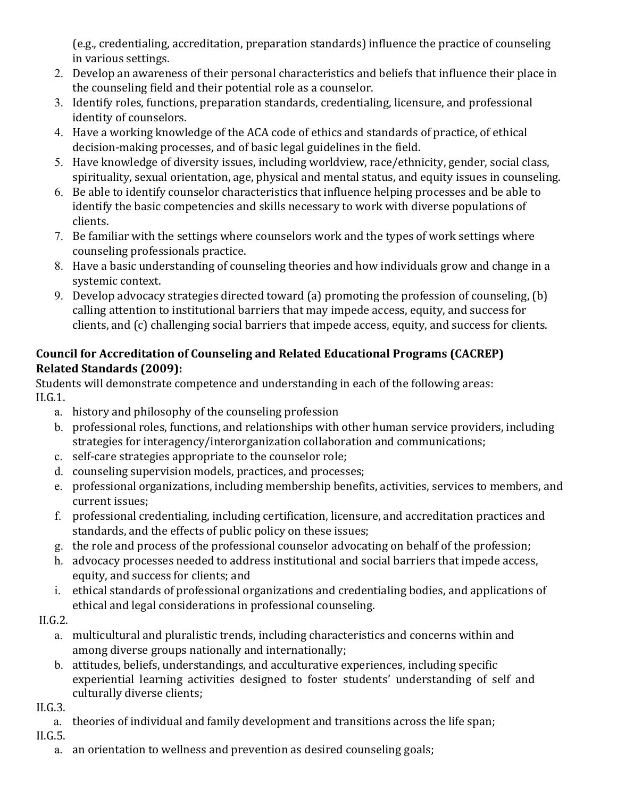(e.g., credentialing, accreditation, preparation standards) influence the practice of counseling in various settings.

- 2. Develop an awareness of their personal characteristics and beliefs that influence their place in the counseling field and their potential role as a counselor.
- 3. Identify roles, functions, preparation standards, credentialing, licensure, and professional identity of counselors.
- 4. Have a working knowledge of the ACA code of ethics and standards of practice, of ethical decision-making processes, and of basic legal guidelines in the field.
- 5. Have knowledge of diversity issues, including worldview, race/ethnicity, gender, social class, spirituality, sexual orientation, age, physical and mental status, and equity issues in counseling.
- 6. Be able to identify counselor characteristics that influence helping processes and be able to identify the basic competencies and skills necessary to work with diverse populations of clients.
- 7. Be familiar with the settings where counselors work and the types of work settings where counseling professionals practice.
- 8. Have a basic understanding of counseling theories and how individuals grow and change in a systemic context.
- 9. Develop advocacy strategies directed toward  $(a)$  promoting the profession of counseling,  $(b)$ calling attention to institutional barriers that may impede access, equity, and success for clients, and (c) challenging social barriers that impede access, equity, and success for clients.

## **Council for Accreditation of Counseling and Related Educational Programs (CACREP) Related Standards (2009):**

Students will demonstrate competence and understanding in each of the following areas: II.G.1. 

- a. history and philosophy of the counseling profession
- b. professional roles, functions, and relationships with other human service providers, including strategies for interagency/interorganization collaboration and communications;
- c. self-care strategies appropriate to the counselor role;
- d. counseling supervision models, practices, and processes;
- e. professional organizations, including membership benefits, activities, services to members, and current issues;
- f. professional credentialing, including certification, licensure, and accreditation practices and standards, and the effects of public policy on these issues;
- g. the role and process of the professional counselor advocating on behalf of the profession;
- h. advocacy processes needed to address institutional and social barriers that impede access, equity, and success for clients; and
- i. ethical standards of professional organizations and credentialing bodies, and applications of ethical and legal considerations in professional counseling.
- II.G.2.
	- a. multicultural and pluralistic trends, including characteristics and concerns within and among diverse groups nationally and internationally;
	- b. attitudes, beliefs, understandings, and acculturative experiences, including specific experiential learning activities designed to foster students' understanding of self and culturally diverse clients;

II.G.3. 

a. theories of individual and family development and transitions across the life span;

II.G.5. 

a. an orientation to wellness and prevention as desired counseling goals;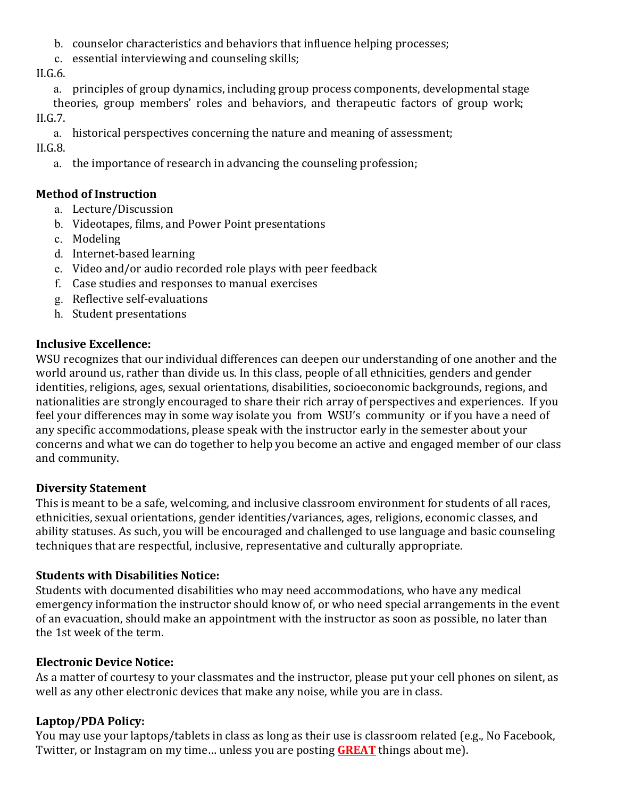- b. counselor characteristics and behaviors that influence helping processes;
- c. essential interviewing and counseling skills;

II.G.6. 

a. principles of group dynamics, including group process components, developmental stage theories, group members' roles and behaviors, and therapeutic factors of group work;

II.G.7. 

a. historical perspectives concerning the nature and meaning of assessment;

II.G.8. 

a. the importance of research in advancing the counseling profession;

### **Method of Instruction**

- a. Lecture/Discussion
- b. Videotapes, films, and Power Point presentations
- c. Modeling
- d. Internet-based learning
- e. Video and/or audio recorded role plays with peer feedback
- f. Case studies and responses to manual exercises
- g. Reflective self-evaluations
- h. Student presentations

#### **Inclusive Excellence:**

WSU recognizes that our individual differences can deepen our understanding of one another and the world around us, rather than divide us. In this class, people of all ethnicities, genders and gender identities, religions, ages, sexual orientations, disabilities, socioeconomic backgrounds, regions, and nationalities are strongly encouraged to share their rich array of perspectives and experiences. If you feel your differences may in some way isolate you from WSU's community or if you have a need of any specific accommodations, please speak with the instructor early in the semester about your concerns and what we can do together to help you become an active and engaged member of our class and community.

#### **Diversity Statement**

This is meant to be a safe, welcoming, and inclusive classroom environment for students of all races, ethnicities, sexual orientations, gender identities/variances, ages, religions, economic classes, and ability statuses. As such, you will be encouraged and challenged to use language and basic counseling techniques that are respectful, inclusive, representative and culturally appropriate.

## **Students with Disabilities Notice:**

Students with documented disabilities who may need accommodations, who have any medical emergency information the instructor should know of, or who need special arrangements in the event of an evacuation, should make an appointment with the instructor as soon as possible, no later than the 1st week of the term.

## **Electronic Device Notice:**

As a matter of courtesy to your classmates and the instructor, please put your cell phones on silent, as well as any other electronic devices that make any noise, while you are in class.

## Laptop/PDA Policy:

You may use your laptops/tablets in class as long as their use is classroom related (e.g., No Facebook, Twitter, or Instagram on my time... unless you are posting **GREAT** things about me).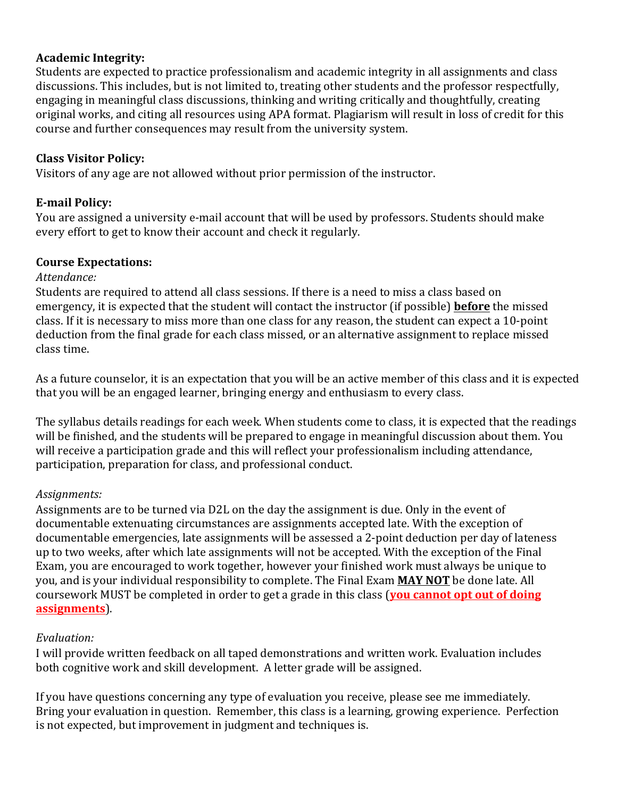#### **Academic Integrity:**

Students are expected to practice professionalism and academic integrity in all assignments and class discussions. This includes, but is not limited to, treating other students and the professor respectfully, engaging in meaningful class discussions, thinking and writing critically and thoughtfully, creating original works, and citing all resources using APA format. Plagiarism will result in loss of credit for this course and further consequences may result from the university system.

#### **Class Visitor Policy:**

Visitors of any age are not allowed without prior permission of the instructor.

#### **E-mail Policy:**

You are assigned a university e-mail account that will be used by professors. Students should make every effort to get to know their account and check it regularly.

#### **Course Expectations:**

#### *Attendance:*

Students are required to attend all class sessions. If there is a need to miss a class based on emergency, it is expected that the student will contact the instructor (if possible) **before** the missed class. If it is necessary to miss more than one class for any reason, the student can expect a 10-point deduction from the final grade for each class missed, or an alternative assignment to replace missed class time. 

As a future counselor, it is an expectation that you will be an active member of this class and it is expected that you will be an engaged learner, bringing energy and enthusiasm to every class.

The syllabus details readings for each week. When students come to class, it is expected that the readings will be finished, and the students will be prepared to engage in meaningful discussion about them. You will receive a participation grade and this will reflect your professionalism including attendance, participation, preparation for class, and professional conduct.

#### *Assignments:*

Assignments are to be turned via D2L on the day the assignment is due. Only in the event of documentable extenuating circumstances are assignments accepted late. With the exception of documentable emergencies, late assignments will be assessed a 2-point deduction per day of lateness up to two weeks, after which late assignments will not be accepted. With the exception of the Final Exam, you are encouraged to work together, however your finished work must always be unique to you, and is your individual responsibility to complete. The Final Exam **MAY NOT** be done late. All coursework MUST be completed in order to get a grade in this class (**you cannot opt out of doing assignments**).

#### *Evaluation:*

I will provide written feedback on all taped demonstrations and written work. Evaluation includes both cognitive work and skill development. A letter grade will be assigned.

If you have questions concerning any type of evaluation you receive, please see me immediately. Bring your evaluation in question. Remember, this class is a learning, growing experience. Perfection is not expected, but improvement in judgment and techniques is.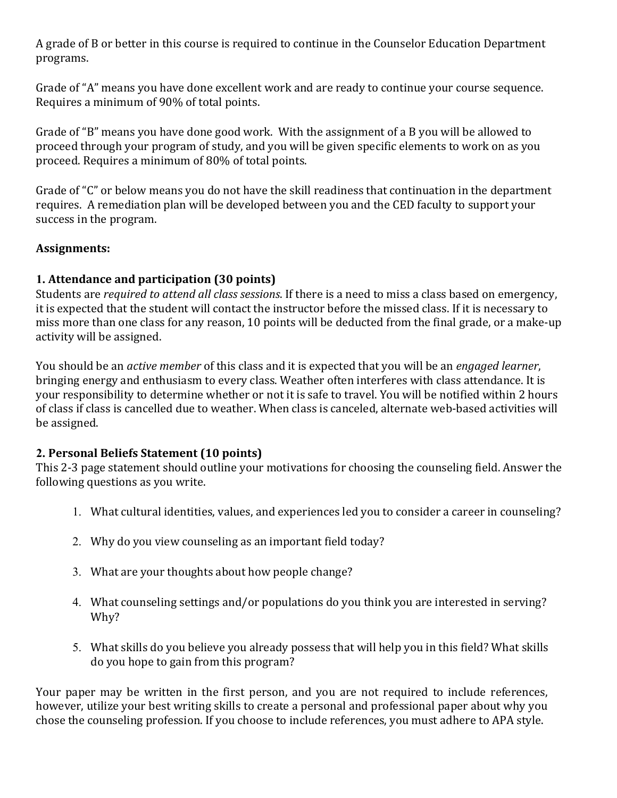A grade of B or better in this course is required to continue in the Counselor Education Department programs. 

Grade of "A" means you have done excellent work and are ready to continue your course sequence. Requires a minimum of 90% of total points.

Grade of "B" means you have done good work. With the assignment of a B you will be allowed to proceed through your program of study, and you will be given specific elements to work on as you proceed. Requires a minimum of 80% of total points.

Grade of "C" or below means you do not have the skill readiness that continuation in the department requires. A remediation plan will be developed between you and the CED faculty to support your success in the program.

#### **Assignments:**

#### **1. Attendance and participation (30 points)**

Students are *required to attend all class sessions*. If there is a need to miss a class based on emergency, it is expected that the student will contact the instructor before the missed class. If it is necessary to miss more than one class for any reason, 10 points will be deducted from the final grade, or a make-up activity will be assigned.

You should be an *active member* of this class and it is expected that you will be an *engaged learner*, bringing energy and enthusiasm to every class. Weather often interferes with class attendance. It is your responsibility to determine whether or not it is safe to travel. You will be notified within 2 hours of class if class is cancelled due to weather. When class is canceled, alternate web-based activities will be assigned.

#### **2. Personal Beliefs Statement (10 points)**

This 2-3 page statement should outline your motivations for choosing the counseling field. Answer the following questions as you write.

- 1. What cultural identities, values, and experiences led you to consider a career in counseling?
- 2. Why do you view counseling as an important field today?
- 3. What are your thoughts about how people change?
- 4. What counseling settings and/or populations do you think you are interested in serving? Why?
- 5. What skills do you believe you already possess that will help you in this field? What skills do you hope to gain from this program?

Your paper may be written in the first person, and you are not required to include references, however, utilize your best writing skills to create a personal and professional paper about why you chose the counseling profession. If you choose to include references, you must adhere to APA style.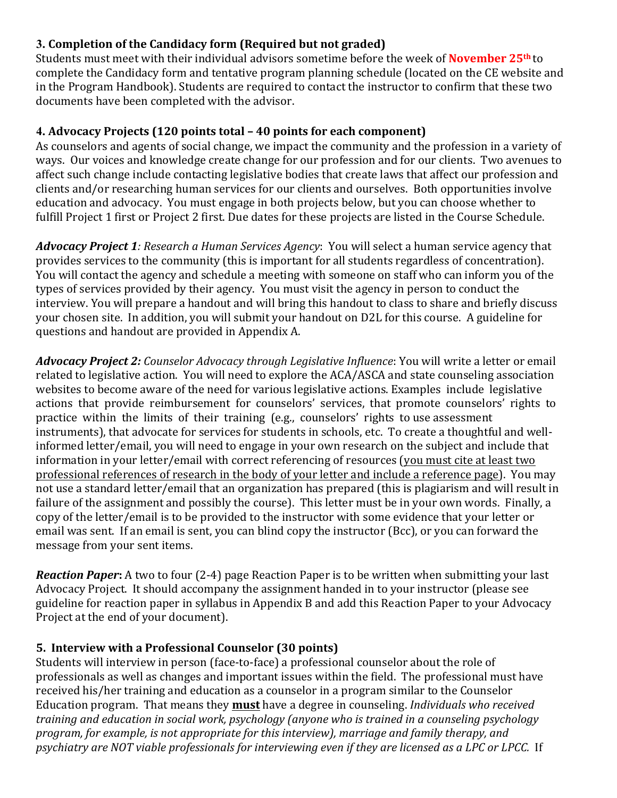## **3. Completion of the Candidacy form (Required but not graded)**

Students must meet with their individual advisors sometime before the week of **November 25<sup>th</sup>** to complete the Candidacy form and tentative program planning schedule (located on the CE website and in the Program Handbook). Students are required to contact the instructor to confirm that these two documents have been completed with the advisor.

## **4. Advocacy Projects (120 points total – 40 points for each component)**

As counselors and agents of social change, we impact the community and the profession in a variety of ways. Our voices and knowledge create change for our profession and for our clients. Two avenues to affect such change include contacting legislative bodies that create laws that affect our profession and clients and/or researching human services for our clients and ourselves. Both opportunities involve education and advocacy. You must engage in both projects below, but you can choose whether to fulfill Project 1 first or Project 2 first. Due dates for these projects are listed in the Course Schedule.

*Advocacy Project 1: Research a Human Services Agency: You will select a human service agency that* provides services to the community (this is important for all students regardless of concentration). You will contact the agency and schedule a meeting with someone on staff who can inform you of the types of services provided by their agency. You must visit the agency in person to conduct the interview. You will prepare a handout and will bring this handout to class to share and briefly discuss your chosen site. In addition, you will submit your handout on D2L for this course. A guideline for questions and handout are provided in Appendix A.

*Advocacy Project 2: Counselor Advocacy through Legislative Influence:* You will write a letter or email related to legislative action. You will need to explore the ACA/ASCA and state counseling association websites to become aware of the need for various legislative actions. Examples include legislative actions that provide reimbursement for counselors' services, that promote counselors' rights to practice within the limits of their training (e.g., counselors' rights to use assessment instruments), that advocate for services for students in schools, etc. To create a thoughtful and wellinformed letter/email, you will need to engage in your own research on the subject and include that information in your letter/email with correct referencing of resources (you must cite at least two professional references of research in the body of your letter and include a reference page). You may not use a standard letter/email that an organization has prepared (this is plagiarism and will result in failure of the assignment and possibly the course). This letter must be in your own words. Finally, a copy of the letter/email is to be provided to the instructor with some evidence that your letter or email was sent. If an email is sent, you can blind copy the instructor (Bcc), or you can forward the message from your sent items.

*Reaction Paper*: A two to four (2-4) page Reaction Paper is to be written when submitting your last Advocacy Project. It should accompany the assignment handed in to your instructor (please see guideline for reaction paper in syllabus in Appendix B and add this Reaction Paper to your Advocacy Project at the end of your document).

## **5. Interview with a Professional Counselor (30 points)**

Students will interview in person (face-to-face) a professional counselor about the role of professionals as well as changes and important issues within the field. The professional must have received his/her training and education as a counselor in a program similar to the Counselor Education program. That means they **must** have a degree in counseling. *Individuals who received training and education in social work, psychology (anyone who is trained in a counseling psychology* program, for example, is not appropriate for this interview), marriage and family therapy, and psychiatry are NOT viable professionals for interviewing even if they are licensed as a LPC or LPCC. If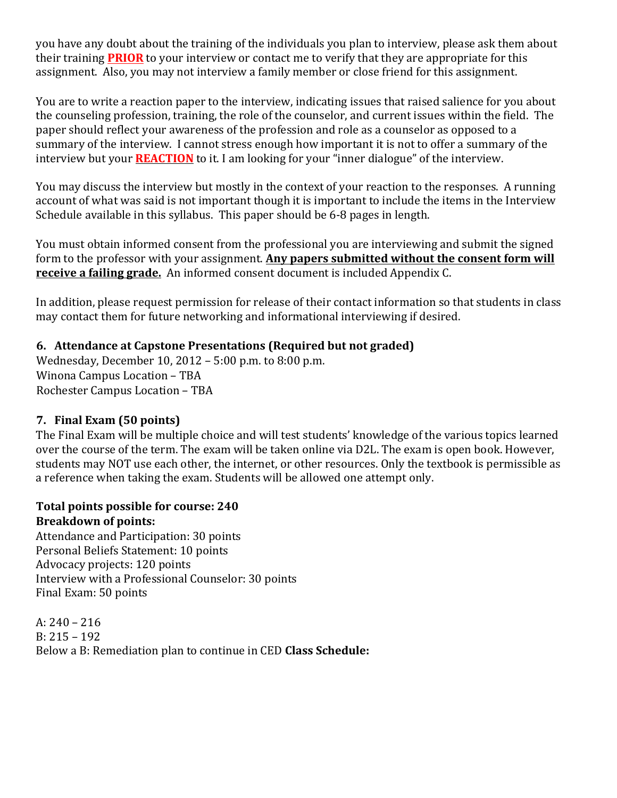you have any doubt about the training of the individuals you plan to interview, please ask them about their training **PRIOR** to your interview or contact me to verify that they are appropriate for this assignment. Also, you may not interview a family member or close friend for this assignment.

You are to write a reaction paper to the interview, indicating issues that raised salience for you about the counseling profession, training, the role of the counselor, and current issues within the field. The paper should reflect your awareness of the profession and role as a counselor as opposed to a summary of the interview. I cannot stress enough how important it is not to offer a summary of the interview but your **REACTION** to it. I am looking for your "inner dialogue" of the interview.

You may discuss the interview but mostly in the context of your reaction to the responses. A running account of what was said is not important though it is important to include the items in the Interview Schedule available in this syllabus. This paper should be 6-8 pages in length.

You must obtain informed consent from the professional you are interviewing and submit the signed form to the professor with your assignment. Any papers submitted without the consent form will **receive a failing grade.** An informed consent document is included Appendix C.

In addition, please request permission for release of their contact information so that students in class may contact them for future networking and informational interviewing if desired.

## **6.** Attendance at Capstone Presentations (Required but not graded)

Wednesday, December 10, 2012 - 5:00 p.m. to  $8:00$  p.m. Winona Campus Location - TBA Rochester Campus Location - TBA

#### **7. Final Exam (50 points)**

The Final Exam will be multiple choice and will test students' knowledge of the various topics learned over the course of the term. The exam will be taken online via D2L. The exam is open book. However, students may NOT use each other, the internet, or other resources. Only the textbook is permissible as a reference when taking the exam. Students will be allowed one attempt only.

#### Total points possible for course: 240 **Breakdown of points:**

Attendance and Participation: 30 points Personal Beliefs Statement: 10 points Advocacy projects: 120 points Interview with a Professional Counselor: 30 points Final Exam: 50 points

A:  $240 - 216$  $B: 215 - 192$ Below a B: Remediation plan to continue in CED **Class Schedule:**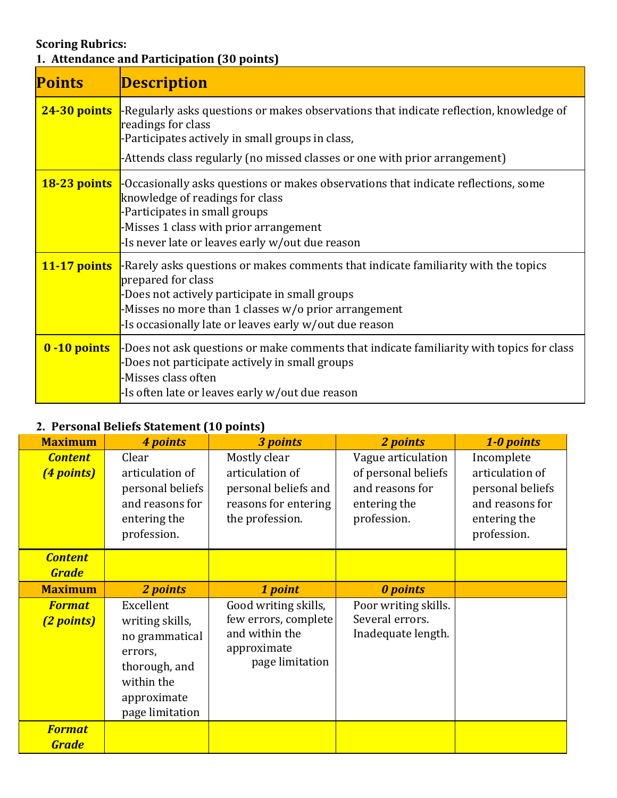# **Scoring Rubrics:**

**1. Attendance and Participation (30 points)** 

| <b>Points</b>  | <b>Description</b>                                                                                                                                                                                                                                                           |
|----------------|------------------------------------------------------------------------------------------------------------------------------------------------------------------------------------------------------------------------------------------------------------------------------|
| $24-30$ points | -Regularly asks questions or makes observations that indicate reflection, knowledge of<br>readings for class<br>-Participates actively in small groups in class,<br>-Attends class regularly (no missed classes or one with prior arrangement)                               |
| 18-23 points   | -Occasionally asks questions or makes observations that indicate reflections, some<br>knowledge of readings for class<br>-Participates in small groups<br>-Misses 1 class with prior arrangement<br>-Is never late or leaves early w/out due reason                          |
| 11-17 points   | -Rarely asks questions or makes comments that indicate familiarity with the topics<br>prepared for class<br>-Does not actively participate in small groups<br>-Misses no more than 1 classes w/o prior arrangement<br>-Is occasionally late or leaves early w/out due reason |
| 0 -10 points   | -Does not ask questions or make comments that indicate familiarity with topics for class<br>-Does not participate actively in small groups<br>-Misses class often<br>-Is often late or leaves early w/out due reason                                                         |

## 2. Personal Beliefs Statement (10 points)

| <b>Maximum</b>                 | 4 points                                                                                                                   | 3 points                                                                                           | 2 points                                                                                    | 1-0 points                                                                                          |
|--------------------------------|----------------------------------------------------------------------------------------------------------------------------|----------------------------------------------------------------------------------------------------|---------------------------------------------------------------------------------------------|-----------------------------------------------------------------------------------------------------|
| <b>Content</b><br>(4 points)   | Clear<br>articulation of<br>personal beliefs<br>and reasons for<br>entering the<br>profession.                             | Mostly clear<br>articulation of<br>personal beliefs and<br>reasons for entering<br>the profession. | Vague articulation<br>of personal beliefs<br>and reasons for<br>entering the<br>profession. | Incomplete<br>articulation of<br>personal beliefs<br>and reasons for<br>entering the<br>profession. |
| <b>Content</b><br><b>Grade</b> |                                                                                                                            |                                                                                                    |                                                                                             |                                                                                                     |
| <b>Maximum</b>                 | 2 points                                                                                                                   | 1 point                                                                                            | <b>0</b> points                                                                             |                                                                                                     |
| <b>Format</b><br>(2 points)    | Excellent<br>writing skills,<br>no grammatical<br>errors,<br>thorough, and<br>within the<br>approximate<br>page limitation | Good writing skills,<br>few errors, complete<br>and within the<br>approximate<br>page limitation   | Poor writing skills.<br>Several errors.<br>Inadequate length.                               |                                                                                                     |
| <b>Format</b><br><b>Grade</b>  |                                                                                                                            |                                                                                                    |                                                                                             |                                                                                                     |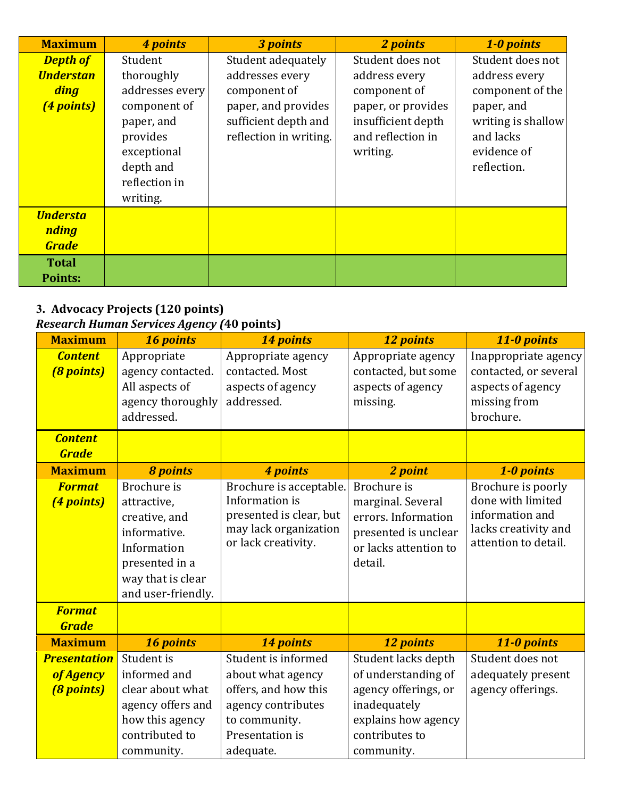| <b>Maximum</b>                                  | 4 points                                                                                        | 3 points                                                              | 2 points                                                                  | 1-0 points                                                                  |
|-------------------------------------------------|-------------------------------------------------------------------------------------------------|-----------------------------------------------------------------------|---------------------------------------------------------------------------|-----------------------------------------------------------------------------|
| <b>Depth of</b>                                 | Student                                                                                         | Student adequately                                                    | Student does not                                                          | Student does not                                                            |
| <b>Understan</b>                                | thoroughly                                                                                      | addresses every                                                       | address every                                                             | address every                                                               |
| <b>ding</b>                                     | addresses every                                                                                 | component of                                                          | component of                                                              | component of the                                                            |
| (4 points)                                      | component of<br>paper, and<br>provides<br>exceptional<br>depth and<br>reflection in<br>writing. | paper, and provides<br>sufficient depth and<br>reflection in writing. | paper, or provides<br>insufficient depth<br>and reflection in<br>writing. | paper, and<br>writing is shallow<br>and lacks<br>evidence of<br>reflection. |
| <b>Understa</b><br><b>nding</b><br><b>Grade</b> |                                                                                                 |                                                                       |                                                                           |                                                                             |
| <b>Total</b><br><b>Points:</b>                  |                                                                                                 |                                                                       |                                                                           |                                                                             |

#### **3. Advocacy Projects (120 points)** *Research Human Services Agency (***40 points)**

community. 

| <b>Maximum</b><br>14 points<br>16 points<br>12 points<br>11-0 points<br><b>Content</b><br>Appropriate<br>Appropriate agency<br>Appropriate agency<br>contacted. Most<br>contacted, but some<br>(8 points)<br>agency contacted.<br>All aspects of<br>aspects of agency<br>aspects of agency<br>aspects of agency<br>agency thoroughly<br>addressed.<br>missing from<br>missing.<br>brochure.<br>addressed.<br><b>Content</b><br><b>Grade</b><br><b>Maximum</b><br><b>8 points</b><br>4 points<br>2 point<br>1-0 points<br>Brochure is<br>Brochure is<br>Brochure is poorly<br><b>Format</b><br>Brochure is acceptable.<br>done with limited<br>Information is<br>marginal. Several<br>(4 points)<br>attractive,<br>presented is clear, but<br>information and<br>errors. Information<br>creative, and<br>may lack organization<br>lacks creativity and<br>informative.<br>presented is unclear<br>or lack creativity.<br>attention to detail.<br>or lacks attention to<br>Information<br>presented in a<br>detail.<br>way that is clear<br>and user-friendly.<br><b>Format</b><br><b>Grade</b><br><b>Maximum</b><br>16 points<br>14 points<br>11-0 points<br>12 points<br>Student is<br>Student is informed<br>Student lacks depth<br>Student does not<br><b>Presentation</b><br>informed and<br>of understanding of<br>adequately present<br>about what agency<br>of Agency<br>offers, and how this<br>agency offerings, or<br>agency offerings.<br>(8 points)<br>clear about what<br>agency offers and<br>agency contributes<br>inadequately<br>how this agency<br>explains how agency<br>to community. |                |                 |                |                                               |
|----------------------------------------------------------------------------------------------------------------------------------------------------------------------------------------------------------------------------------------------------------------------------------------------------------------------------------------------------------------------------------------------------------------------------------------------------------------------------------------------------------------------------------------------------------------------------------------------------------------------------------------------------------------------------------------------------------------------------------------------------------------------------------------------------------------------------------------------------------------------------------------------------------------------------------------------------------------------------------------------------------------------------------------------------------------------------------------------------------------------------------------------------------------------------------------------------------------------------------------------------------------------------------------------------------------------------------------------------------------------------------------------------------------------------------------------------------------------------------------------------------------------------------------------------------------------------------------------------------|----------------|-----------------|----------------|-----------------------------------------------|
|                                                                                                                                                                                                                                                                                                                                                                                                                                                                                                                                                                                                                                                                                                                                                                                                                                                                                                                                                                                                                                                                                                                                                                                                                                                                                                                                                                                                                                                                                                                                                                                                          |                |                 |                |                                               |
|                                                                                                                                                                                                                                                                                                                                                                                                                                                                                                                                                                                                                                                                                                                                                                                                                                                                                                                                                                                                                                                                                                                                                                                                                                                                                                                                                                                                                                                                                                                                                                                                          |                |                 |                | Inappropriate agency<br>contacted, or several |
|                                                                                                                                                                                                                                                                                                                                                                                                                                                                                                                                                                                                                                                                                                                                                                                                                                                                                                                                                                                                                                                                                                                                                                                                                                                                                                                                                                                                                                                                                                                                                                                                          |                |                 |                |                                               |
|                                                                                                                                                                                                                                                                                                                                                                                                                                                                                                                                                                                                                                                                                                                                                                                                                                                                                                                                                                                                                                                                                                                                                                                                                                                                                                                                                                                                                                                                                                                                                                                                          |                |                 |                |                                               |
|                                                                                                                                                                                                                                                                                                                                                                                                                                                                                                                                                                                                                                                                                                                                                                                                                                                                                                                                                                                                                                                                                                                                                                                                                                                                                                                                                                                                                                                                                                                                                                                                          |                |                 |                |                                               |
|                                                                                                                                                                                                                                                                                                                                                                                                                                                                                                                                                                                                                                                                                                                                                                                                                                                                                                                                                                                                                                                                                                                                                                                                                                                                                                                                                                                                                                                                                                                                                                                                          |                |                 |                |                                               |
|                                                                                                                                                                                                                                                                                                                                                                                                                                                                                                                                                                                                                                                                                                                                                                                                                                                                                                                                                                                                                                                                                                                                                                                                                                                                                                                                                                                                                                                                                                                                                                                                          |                |                 |                |                                               |
|                                                                                                                                                                                                                                                                                                                                                                                                                                                                                                                                                                                                                                                                                                                                                                                                                                                                                                                                                                                                                                                                                                                                                                                                                                                                                                                                                                                                                                                                                                                                                                                                          |                |                 |                |                                               |
|                                                                                                                                                                                                                                                                                                                                                                                                                                                                                                                                                                                                                                                                                                                                                                                                                                                                                                                                                                                                                                                                                                                                                                                                                                                                                                                                                                                                                                                                                                                                                                                                          |                |                 |                |                                               |
|                                                                                                                                                                                                                                                                                                                                                                                                                                                                                                                                                                                                                                                                                                                                                                                                                                                                                                                                                                                                                                                                                                                                                                                                                                                                                                                                                                                                                                                                                                                                                                                                          | contributed to | Presentation is | contributes to |                                               |

adequate. 

community.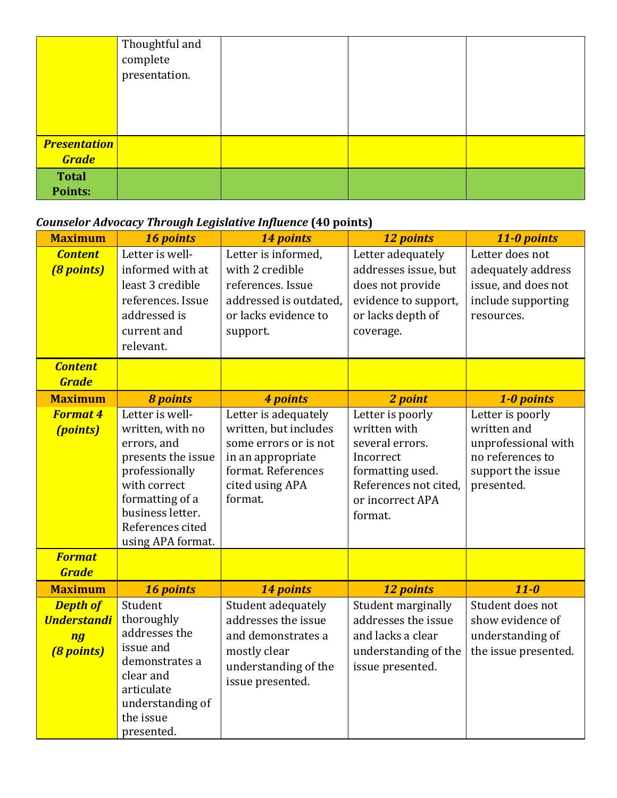|                                     | Thoughtful and<br>complete<br>presentation. |  |  |
|-------------------------------------|---------------------------------------------|--|--|
| <b>Presentation</b><br><b>Grade</b> |                                             |  |  |
| <b>Total</b><br>Points:             |                                             |  |  |

# *Counselor Advocacy Through Legislative Influence* **(40 points)**

| <b>Maximum</b>                                                   | 16 points                                                                                                                                                                                  | 14 points                                                                                                                                       | 12 points                                                                                                                                    | 11-0 points                                                                                                   |
|------------------------------------------------------------------|--------------------------------------------------------------------------------------------------------------------------------------------------------------------------------------------|-------------------------------------------------------------------------------------------------------------------------------------------------|----------------------------------------------------------------------------------------------------------------------------------------------|---------------------------------------------------------------------------------------------------------------|
| <b>Content</b><br><b>(8 points)</b>                              | Letter is well-<br>informed with at<br>least 3 credible<br>references. Issue<br>addressed is<br>current and<br>relevant.                                                                   | Letter is informed,<br>with 2 credible<br>references. Issue<br>addressed is outdated,<br>or lacks evidence to<br>support.                       | Letter adequately<br>addresses issue, but<br>does not provide<br>evidence to support,<br>or lacks depth of<br>coverage.                      | Letter does not<br>adequately address<br>issue, and does not<br>include supporting<br>resources.              |
| <b>Content</b><br><b>Grade</b>                                   |                                                                                                                                                                                            |                                                                                                                                                 |                                                                                                                                              |                                                                                                               |
| <b>Maximum</b>                                                   | <b>8 points</b>                                                                                                                                                                            | 4 points                                                                                                                                        | 2 point                                                                                                                                      | 1-0 points                                                                                                    |
| <b>Format 4</b><br><i>(points)</i><br><b>Format</b>              | Letter is well-<br>written, with no<br>errors, and<br>presents the issue<br>professionally<br>with correct<br>formatting of a<br>business letter.<br>References cited<br>using APA format. | Letter is adequately<br>written, but includes<br>some errors or is not<br>in an appropriate<br>format. References<br>cited using APA<br>format. | Letter is poorly<br>written with<br>several errors.<br>Incorrect<br>formatting used.<br>References not cited,<br>or incorrect APA<br>format. | Letter is poorly<br>written and<br>unprofessional with<br>no references to<br>support the issue<br>presented. |
| <b>Grade</b>                                                     |                                                                                                                                                                                            |                                                                                                                                                 |                                                                                                                                              |                                                                                                               |
| <b>Maximum</b>                                                   | 16 points                                                                                                                                                                                  | 14 points                                                                                                                                       | 12 points                                                                                                                                    | $11-0$                                                                                                        |
| <b>Depth of</b><br><b>Understandi</b><br>ng<br><b>(8 points)</b> | Student<br>thoroughly<br>addresses the<br>issue and<br>demonstrates a<br>clear and<br>articulate<br>understanding of<br>the issue<br>presented.                                            | Student adequately<br>addresses the issue<br>and demonstrates a<br>mostly clear<br>understanding of the<br>issue presented.                     | Student marginally<br>addresses the issue<br>and lacks a clear<br>understanding of the<br>issue presented.                                   | Student does not<br>show evidence of<br>understanding of<br>the issue presented.                              |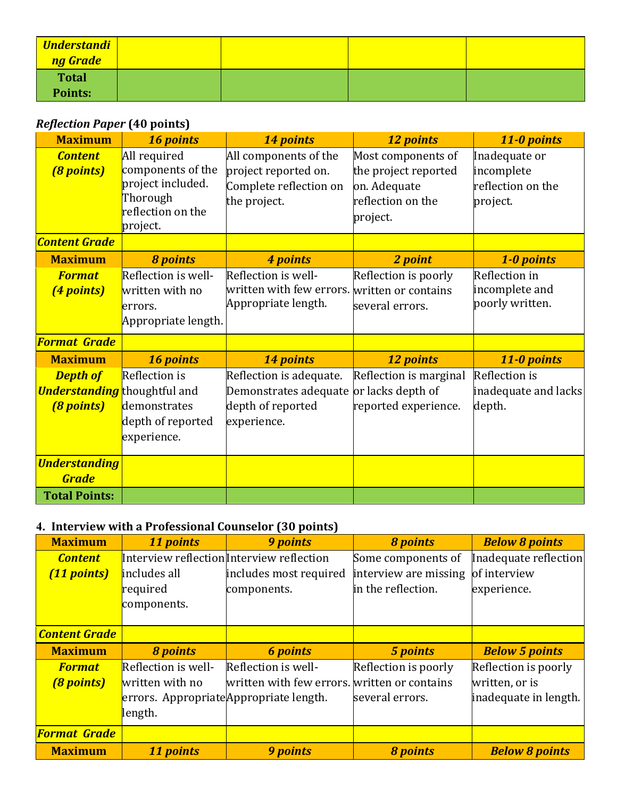| <b>Understandi</b><br>ng Grade |  |  |
|--------------------------------|--|--|
| <b>Total</b>                   |  |  |
| Points:                        |  |  |

## *Reflection Paper* (40 points)

| <b>Maximum</b>                                                              | 16 points                                                                                           | 14 points                                                                                  | 12 points                                                                                   | 11-0 points                                                  |
|-----------------------------------------------------------------------------|-----------------------------------------------------------------------------------------------------|--------------------------------------------------------------------------------------------|---------------------------------------------------------------------------------------------|--------------------------------------------------------------|
| <b>Content</b><br>(8 points)                                                | All required<br>components of the<br>project included.<br>Thorough<br>reflection on the<br>project. | All components of the<br>project reported on.<br>Complete reflection on<br>the project.    | Most components of<br>the project reported<br>on. Adequate<br>reflection on the<br>project. | Inadequate or<br>incomplete<br>reflection on the<br>project. |
| <b>Content Grade</b>                                                        |                                                                                                     |                                                                                            |                                                                                             |                                                              |
| <b>Maximum</b>                                                              | <b>8 points</b>                                                                                     | 4 points                                                                                   | 2 point                                                                                     | 1-0 points                                                   |
| <b>Format</b><br>(4 points)                                                 | Reflection is well-<br>written with no<br>errors.<br>Appropriate length.                            | Reflection is well-<br>written with few errors. written or contains<br>Appropriate length. | Reflection is poorly<br>several errors.                                                     | Reflection in<br>incomplete and<br>poorly written.           |
| <b>Format Grade</b>                                                         |                                                                                                     |                                                                                            |                                                                                             |                                                              |
| <b>Maximum</b>                                                              | 16 points                                                                                           | 14 points                                                                                  | 12 points                                                                                   | 11-0 points                                                  |
| <b>Depth of</b><br><b>Understanding</b> thoughtful and<br><b>(8 points)</b> | <b>Reflection</b> is<br>demonstrates<br>depth of reported<br>experience.                            | Reflection is adequate.<br>Demonstrates adequate<br>depth of reported<br>experience.       | Reflection is marginal<br>or lacks depth of<br>reported experience.                         | Reflection is<br>inadequate and lacks<br>depth.              |
| <b>Understanding</b><br><b>Grade</b>                                        |                                                                                                     |                                                                                            |                                                                                             |                                                              |
| <b>Total Points:</b>                                                        |                                                                                                     |                                                                                            |                                                                                             |                                                              |

## 4. **Interview with a Professional Counselor** (30 points)

| <b>Maximum</b>       | 11 points                               | 9 points                                     | <b>8 points</b>       | <b>Below 8 points</b> |
|----------------------|-----------------------------------------|----------------------------------------------|-----------------------|-----------------------|
| <b>Content</b>       |                                         | Interview reflection Interview reflection    | Some components of    | Inadequate reflection |
| (11 points)          | includes all                            | includes most required                       | interview are missing | of interview          |
|                      | required                                | components.                                  | in the reflection.    | experience.           |
|                      | components.                             |                                              |                       |                       |
|                      |                                         |                                              |                       |                       |
| <b>Content Grade</b> |                                         |                                              |                       |                       |
| <b>Maximum</b>       | <b>8 points</b>                         | <b>6 points</b>                              | 5 points              | <b>Below 5 points</b> |
| <b>Format</b>        | Reflection is well-                     | Reflection is well-                          | Reflection is poorly  | Reflection is poorly  |
| <b>(8 points)</b>    | written with no                         | written with few errors. written or contains |                       | written, or is        |
|                      | errors. Appropriate Appropriate length. |                                              | several errors.       | inadequate in length. |
|                      | length.                                 |                                              |                       |                       |
| <b>Format Grade</b>  |                                         |                                              |                       |                       |
| <b>Maximum</b>       | 11 points                               | <b>9 points</b>                              | <b>8 points</b>       | <b>Below 8 points</b> |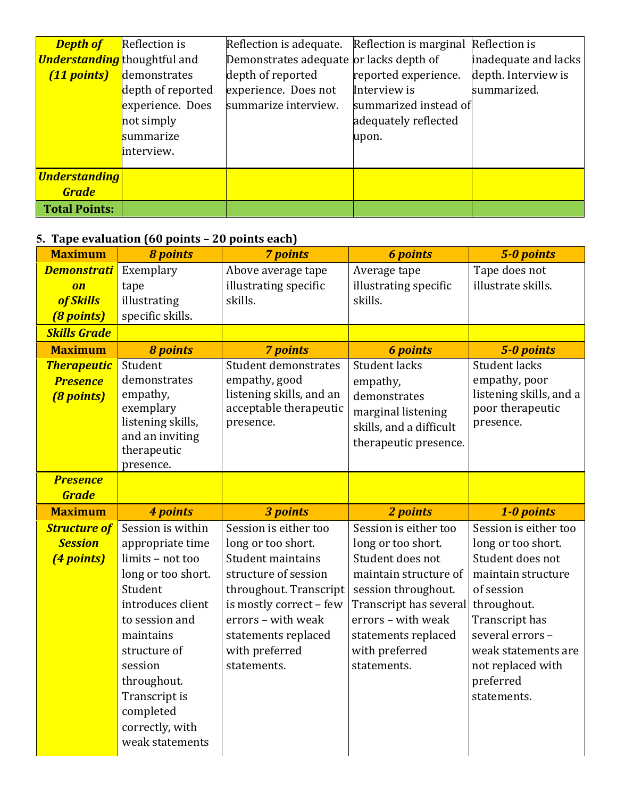| <b>Depth of</b>                     | <b>Reflection</b> is | Reflection is adequate.                 | Reflection is marginal | Reflection is        |
|-------------------------------------|----------------------|-----------------------------------------|------------------------|----------------------|
| <b>Understanding</b> thoughtful and |                      | Demonstrates adequate or lacks depth of |                        | inadequate and lacks |
| (11 points)                         | demonstrates         | depth of reported                       | reported experience.   | depth. Interview is  |
|                                     | depth of reported    | experience. Does not                    | Interview is           | summarized.          |
|                                     | experience. Does     | summarize interview.                    | summarized instead of  |                      |
|                                     | not simply           |                                         | adequately reflected   |                      |
|                                     | summarize            |                                         | upon.                  |                      |
|                                     | interview.           |                                         |                        |                      |
| <b>Understanding</b>                |                      |                                         |                        |                      |
|                                     |                      |                                         |                        |                      |
| <b>Grade</b>                        |                      |                                         |                        |                      |
| <b>Total Points:</b>                |                      |                                         |                        |                      |

#### **5. Tape evaluation** (60 points – 20 points each)

| <b>Maximum</b>                  | <b>8 points</b>                    | <b>7 points</b>                                   | <b>6 points</b>                               | 5-0 points                               |
|---------------------------------|------------------------------------|---------------------------------------------------|-----------------------------------------------|------------------------------------------|
| <b>Demonstrati</b>              | Exemplary                          | Above average tape                                | Average tape                                  | Tape does not                            |
| $\overline{on}$                 | tape                               | illustrating specific                             | illustrating specific                         | illustrate skills.                       |
| of Skills                       | illustrating                       | skills.                                           | skills.                                       |                                          |
| (8 points)                      | specific skills.                   |                                                   |                                               |                                          |
| <b>Skills Grade</b>             |                                    |                                                   |                                               |                                          |
| <b>Maximum</b>                  | <b>8 points</b>                    | <b>7 points</b>                                   | <b>6</b> points                               | 5-0 points                               |
| <b>Therapeutic</b>              | Student                            | <b>Student demonstrates</b>                       | <b>Student lacks</b>                          | Student lacks                            |
| <b>Presence</b>                 | demonstrates<br>empathy,           | empathy, good<br>listening skills, and an         | empathy,                                      | empathy, poor<br>listening skills, and a |
| <b>(8 points)</b>               | exemplary                          | acceptable therapeutic                            | demonstrates<br>marginal listening            | poor therapeutic                         |
|                                 | listening skills,                  | presence.                                         | skills, and a difficult                       | presence.                                |
|                                 | and an inviting                    |                                                   | therapeutic presence.                         |                                          |
|                                 | therapeutic                        |                                                   |                                               |                                          |
|                                 | presence.                          |                                                   |                                               |                                          |
| <b>Presence</b><br><b>Grade</b> |                                    |                                                   |                                               |                                          |
|                                 |                                    |                                                   |                                               |                                          |
|                                 |                                    |                                                   |                                               |                                          |
| <b>Maximum</b>                  | 4 points                           | 3 points                                          | 2 points                                      | 1-0 points                               |
| <b>Structure of</b>             | Session is within                  | Session is either too                             | Session is either too                         | Session is either too                    |
| <b>Session</b>                  | appropriate time                   | long or too short.                                | long or too short.                            | long or too short.                       |
| (4 points)                      | limits - not too                   | Student maintains                                 | Student does not                              | Student does not                         |
|                                 | long or too short.<br>Student      | structure of session                              | maintain structure of                         | maintain structure                       |
|                                 | introduces client                  | throughout. Transcript<br>is mostly correct - few | session throughout.<br>Transcript has several | of session<br>throughout.                |
|                                 | to session and                     | errors - with weak                                | errors - with weak                            | Transcript has                           |
|                                 | maintains                          | statements replaced                               | statements replaced                           | several errors -                         |
|                                 | structure of                       | with preferred                                    | with preferred                                | weak statements are                      |
|                                 | session                            | statements.                                       | statements.                                   | not replaced with                        |
|                                 | throughout.                        |                                                   |                                               | preferred                                |
|                                 | Transcript is                      |                                                   |                                               | statements.                              |
|                                 | completed                          |                                                   |                                               |                                          |
|                                 | correctly, with<br>weak statements |                                                   |                                               |                                          |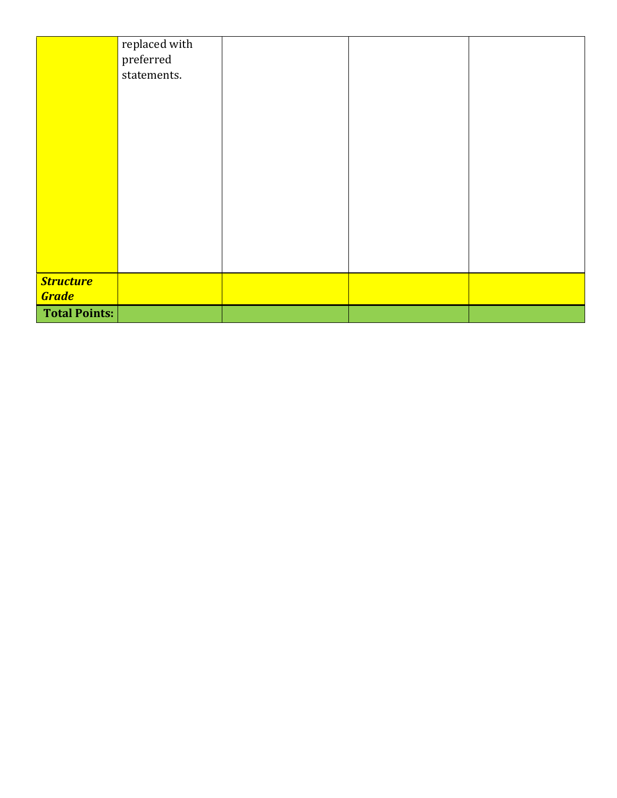|                                  | replaced with<br>preferred<br>statements. |  |  |
|----------------------------------|-------------------------------------------|--|--|
|                                  |                                           |  |  |
|                                  |                                           |  |  |
|                                  |                                           |  |  |
|                                  |                                           |  |  |
| <b>Structure</b><br><b>Grade</b> |                                           |  |  |
| <b>Total Points:</b>             |                                           |  |  |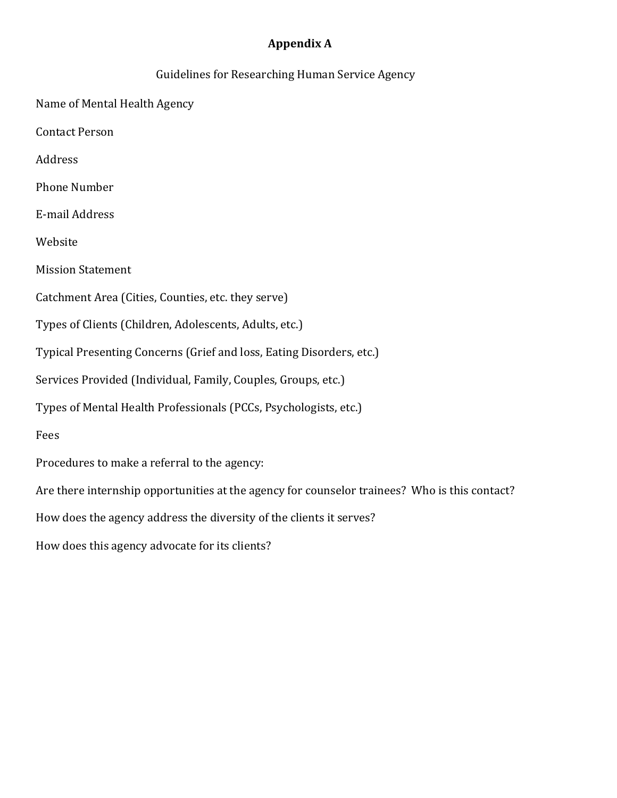## **Appendix A**

| Guidelines for Researching Human Service Agency                                               |
|-----------------------------------------------------------------------------------------------|
| Name of Mental Health Agency                                                                  |
| <b>Contact Person</b>                                                                         |
| Address                                                                                       |
| <b>Phone Number</b>                                                                           |
| E-mail Address                                                                                |
| Website                                                                                       |
| <b>Mission Statement</b>                                                                      |
| Catchment Area (Cities, Counties, etc. they serve)                                            |
| Types of Clients (Children, Adolescents, Adults, etc.)                                        |
| Typical Presenting Concerns (Grief and loss, Eating Disorders, etc.)                          |
| Services Provided (Individual, Family, Couples, Groups, etc.)                                 |
| Types of Mental Health Professionals (PCCs, Psychologists, etc.)                              |
| Fees                                                                                          |
| Procedures to make a referral to the agency:                                                  |
| Are there internship opportunities at the agency for counselor trainees? Who is this contact? |
| How does the agency address the diversity of the clients it serves?                           |
| How does this agency advocate for its clients?                                                |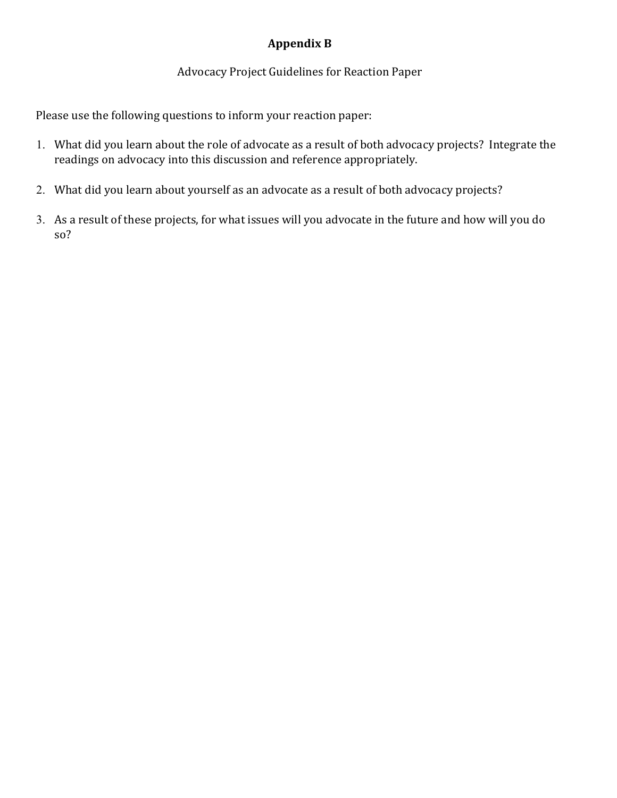## **Appendix B**

#### Advocacy Project Guidelines for Reaction Paper

Please use the following questions to inform your reaction paper:

- 1. What did you learn about the role of advocate as a result of both advocacy projects? Integrate the readings on advocacy into this discussion and reference appropriately.
- 2. What did you learn about yourself as an advocate as a result of both advocacy projects?
- 3. As a result of these projects, for what issues will you advocate in the future and how will you do so?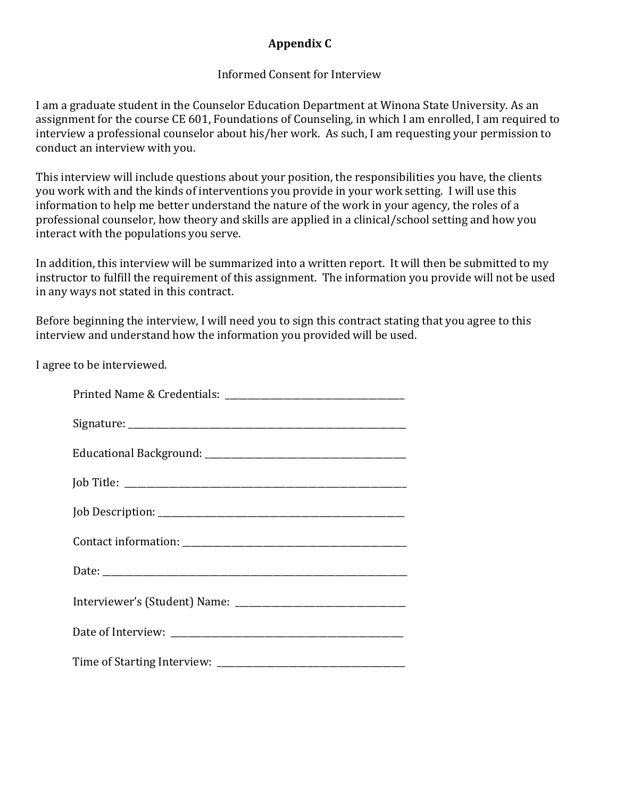## **Appendix C**

#### Informed Consent for Interview

I am a graduate student in the Counselor Education Department at Winona State University. As an assignment for the course CE 601, Foundations of Counseling, in which I am enrolled, I am required to interview a professional counselor about his/her work. As such, I am requesting your permission to conduct an interview with you.

This interview will include questions about your position, the responsibilities you have, the clients you work with and the kinds of interventions you provide in your work setting. I will use this information to help me better understand the nature of the work in your agency, the roles of a professional counselor, how theory and skills are applied in a clinical/school setting and how you interact with the populations you serve.

In addition, this interview will be summarized into a written report. It will then be submitted to my instructor to fulfill the requirement of this assignment. The information you provide will not be used in any ways not stated in this contract.

Before beginning the interview, I will need you to sign this contract stating that you agree to this interview and understand how the information you provided will be used.

I agree to be interviewed.